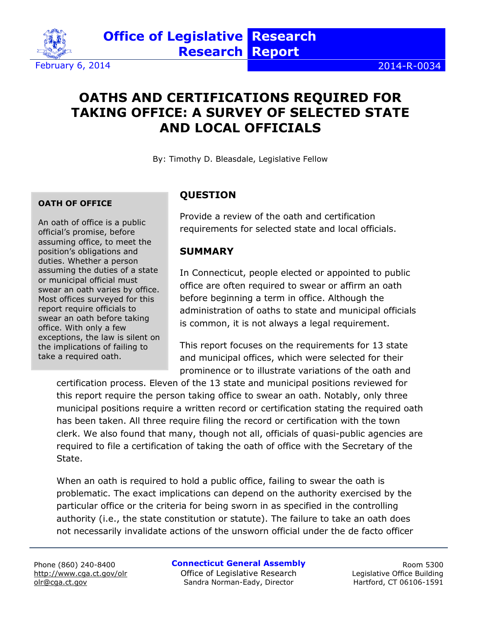

# **OATHS AND CERTIFICATIONS REQUIRED FOR TAKING OFFICE: A SURVEY OF SELECTED STATE AND LOCAL OFFICIALS**

By: Timothy D. Bleasdale, Legislative Fellow

#### **OATH OF OFFICE**

An oath of office is a public official's promise, before assuming office, to meet the position's obligations and duties. Whether a person assuming the duties of a state or municipal official must swear an oath varies by office. Most offices surveyed for this report require officials to swear an oath before taking office. With only a few exceptions, the law is silent on the implications of failing to take a required oath.

#### **QUESTION**

Provide a review of the oath and certification requirements for selected state and local officials.

#### **SUMMARY**

In Connecticut, people elected or appointed to public office are often required to swear or affirm an oath before beginning a term in office. Although the administration of oaths to state and municipal officials is common, it is not always a legal requirement.

This report focuses on the requirements for 13 state and municipal offices, which were selected for their prominence or to illustrate variations of the oath and

certification process. Eleven of the 13 state and municipal positions reviewed for this report require the person taking office to swear an oath. Notably, only three municipal positions require a written record or certification stating the required oath has been taken. All three require filing the record or certification with the town clerk. We also found that many, though not all, officials of quasi-public agencies are required to file a certification of taking the oath of office with the Secretary of the State.

When an oath is required to hold a public office, failing to swear the oath is problematic. The exact implications can depend on the authority exercised by the particular office or the criteria for being sworn in as specified in the controlling authority (i.e., the state constitution or statute). The failure to take an oath does not necessarily invalidate actions of the unsworn official under the de facto officer

Phone (860) 240-8400 <http://www.cga.ct.gov/olr> olr@cga.ct.gov

**Connecticut General Assembly**

Office of Legislative Research Sandra Norman-Eady, Director

Room 5300 Legislative Office Building Hartford, CT 06106-1591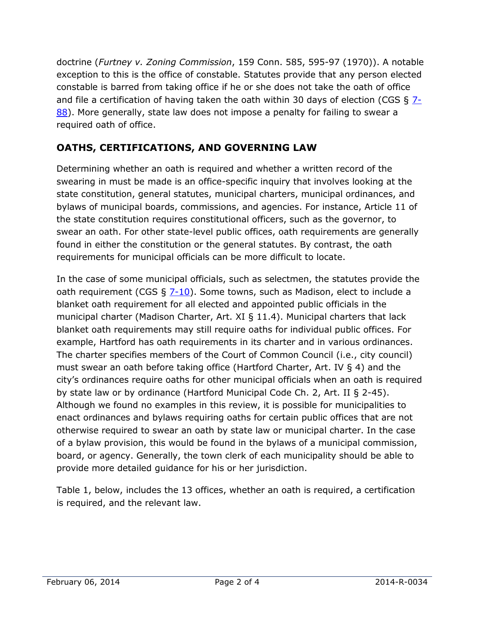doctrine (*Furtney v. Zoning Commission*, 159 Conn. 585, 595-97 (1970)). A notable exception to this is the office of constable. Statutes provide that any person elected constable is barred from taking office if he or she does not take the oath of office and file a certification of having taken the oath within 30 days of election (CGS  $\S$  [7-](http://www.cga.ct.gov/current/pub/chap_095.htm#sec_7-88) [88\)](http://www.cga.ct.gov/current/pub/chap_095.htm#sec_7-88). More generally, state law does not impose a penalty for failing to swear a required oath of office.

## **OATHS, CERTIFICATIONS, AND GOVERNING LAW**

Determining whether an oath is required and whether a written record of the swearing in must be made is an office-specific inquiry that involves looking at the state constitution, general statutes, municipal charters, municipal ordinances, and bylaws of municipal boards, commissions, and agencies. For instance, Article 11 of the state constitution requires constitutional officers, such as the governor, to swear an oath. For other state-level public offices, oath requirements are generally found in either the constitution or the general statutes. By contrast, the oath requirements for municipal officials can be more difficult to locate.

In the case of some municipal officials, such as selectmen, the statutes provide the oath requirement (CGS  $\S$  [7-10\)](http://www.cga.ct.gov/current/pub/chap_091.htm#sec_7-10). Some towns, such as Madison, elect to include a blanket oath requirement for all elected and appointed public officials in the municipal charter (Madison Charter, Art. XI § 11.4). Municipal charters that lack blanket oath requirements may still require oaths for individual public offices. For example, Hartford has oath requirements in its charter and in various ordinances. The charter specifies members of the Court of Common Council (i.e., city council) must swear an oath before taking office (Hartford Charter, Art. IV § 4) and the city's ordinances require oaths for other municipal officials when an oath is required by state law or by ordinance (Hartford Municipal Code Ch. 2, Art. II § 2-45). Although we found no examples in this review, it is possible for municipalities to enact ordinances and bylaws requiring oaths for certain public offices that are not otherwise required to swear an oath by state law or municipal charter. In the case of a bylaw provision, this would be found in the bylaws of a municipal commission, board, or agency. Generally, the town clerk of each municipality should be able to provide more detailed guidance for his or her jurisdiction.

Table 1, below, includes the 13 offices, whether an oath is required, a certification is required, and the relevant law.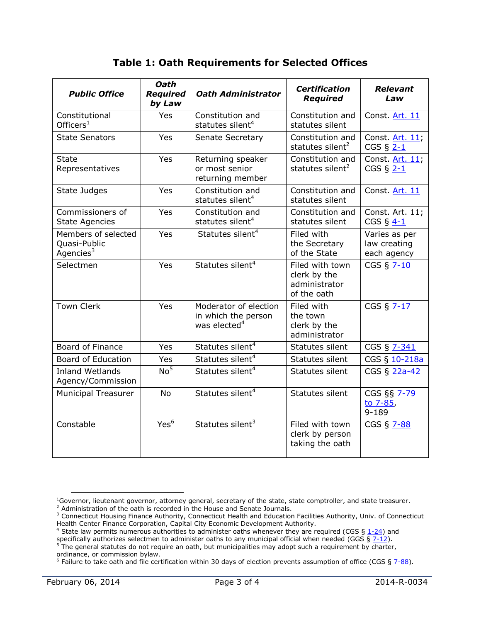|  |  | <b>Table 1: Oath Requirements for Selected Offices</b> |  |  |  |
|--|--|--------------------------------------------------------|--|--|--|
|--|--|--------------------------------------------------------|--|--|--|

| <b>Public Office</b>                                | <b>Oath</b><br><b>Required</b><br>by Law | <b>Oath Administrator</b>                                                | <b>Certification</b><br><b>Required</b>                         | <b>Relevant</b><br>Law                       |
|-----------------------------------------------------|------------------------------------------|--------------------------------------------------------------------------|-----------------------------------------------------------------|----------------------------------------------|
| Constitutional<br>Officers $1$                      | <b>Yes</b>                               | Constitution and<br>statutes silent <sup>4</sup>                         | Constitution and<br>statutes silent                             | Const. Art. 11                               |
| <b>State Senators</b>                               | Yes                                      | Senate Secretary                                                         | Constitution and<br>statutes silent <sup>2</sup>                | Const. Art. 11;<br>CGS $\S$ 2-1              |
| <b>State</b><br>Representatives                     | Yes                                      | Returning speaker<br>or most senior<br>returning member                  | Constitution and<br>statutes silent <sup>2</sup>                | Const. Art. 11;<br>CGS $\S$ 2-1              |
| State Judges                                        | Yes                                      | Constitution and<br>statutes silent <sup>4</sup>                         | Constitution and<br>statutes silent                             | Const. Art. 11                               |
| Commissioners of<br><b>State Agencies</b>           | Yes                                      | Constitution and<br>statutes silent <sup>4</sup>                         | Constitution and<br>statutes silent                             | Const. Art. 11;<br>CGS $\S$ 4-1              |
| Members of selected<br>Quasi-Public<br>Agencies $3$ | <b>Yes</b>                               | Statutes silent <sup>4</sup>                                             | Filed with<br>the Secretary<br>of the State                     | Varies as per<br>law creating<br>each agency |
| Selectmen                                           | <b>Yes</b>                               | Statutes silent <sup>4</sup>                                             | Filed with town<br>clerk by the<br>administrator<br>of the oath | CGS § 7-10                                   |
| <b>Town Clerk</b>                                   | Yes                                      | Moderator of election<br>in which the person<br>was elected <sup>4</sup> | Filed with<br>the town<br>clerk by the<br>administrator         | CGS § 7-17                                   |
| Board of Finance                                    | Yes                                      | Statutes silent <sup>4</sup>                                             | Statutes silent                                                 | CGS § 7-341                                  |
| <b>Board of Education</b>                           | Yes                                      | Statutes silent <sup>4</sup>                                             | Statutes silent                                                 | CGS § 10-218a                                |
| <b>Inland Wetlands</b><br>Agency/Commission         | No <sup>5</sup>                          | Statutes silent <sup>4</sup>                                             | Statutes silent                                                 | CGS § 22a-42                                 |
| <b>Municipal Treasurer</b>                          | <b>No</b>                                | Statutes silent <sup>4</sup>                                             | Statutes silent                                                 | CGS §§ 7-79<br>to 7-85,<br>$9 - 189$         |
| Constable                                           | Yes <sup>6</sup>                         | Statutes silent <sup>3</sup>                                             | Filed with town<br>clerk by person<br>taking the oath           | CGS § 7-88                                   |

 $\overline{a}$ 

 $1$ Governor, lieutenant governor, attorney general, secretary of the state, state comptroller, and state treasurer.

<sup>&</sup>lt;sup>2</sup> Administration of the oath is recorded in the House and Senate Journals.

<sup>&</sup>lt;sup>3</sup> Connecticut Housing Finance Authority, Connecticut Health and Education Facilities Authority, Univ. of Connecticut Health Center Finance Corporation, Capital City Economic Development Authority.

<sup>&</sup>lt;sup>4</sup> State law permits numerous authorities to administer oaths whenever they are required (CGS §  $1-24$ ) and

specifically authorizes selectmen to administer oaths to any municipal official when needed (GGS § [7-12\)](http://www.cga.ct.gov/current/pub/chap_091.htm#sec_7-12).  $<sup>5</sup>$  The general statutes do not require an oath, but municipalities may adopt such a requirement by charter,</sup> ordinance, or commission bylaw.

<sup>&</sup>lt;sup>6</sup> Failure to take oath and file certification within 30 days of election prevents assumption of office (CGS § [7-88\)](http://www.cga.ct.gov/current/pub/chap_095.htm#sec_7-88).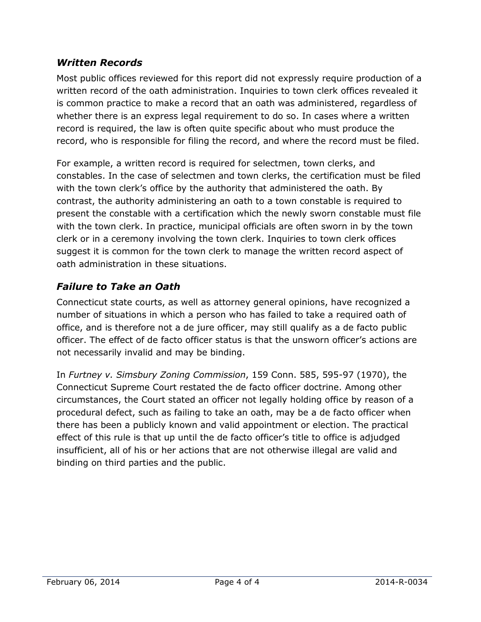### *Written Records*

Most public offices reviewed for this report did not expressly require production of a written record of the oath administration. Inquiries to town clerk offices revealed it is common practice to make a record that an oath was administered, regardless of whether there is an express legal requirement to do so. In cases where a written record is required, the law is often quite specific about who must produce the record, who is responsible for filing the record, and where the record must be filed.

For example, a written record is required for selectmen, town clerks, and constables. In the case of selectmen and town clerks, the certification must be filed with the town clerk's office by the authority that administered the oath. By contrast, the authority administering an oath to a town constable is required to present the constable with a certification which the newly sworn constable must file with the town clerk. In practice, municipal officials are often sworn in by the town clerk or in a ceremony involving the town clerk. Inquiries to town clerk offices suggest it is common for the town clerk to manage the written record aspect of oath administration in these situations.

## *Failure to Take an Oath*

Connecticut state courts, as well as attorney general opinions, have recognized a number of situations in which a person who has failed to take a required oath of office, and is therefore not a de jure officer, may still qualify as a de facto public officer. The effect of de facto officer status is that the unsworn officer's actions are not necessarily invalid and may be binding.

In *Furtney v. Simsbury Zoning Commission*, 159 Conn. 585, 595-97 (1970), the Connecticut Supreme Court restated the de facto officer doctrine. Among other circumstances, the Court stated an officer not legally holding office by reason of a procedural defect, such as failing to take an oath, may be a de facto officer when there has been a publicly known and valid appointment or election. The practical effect of this rule is that up until the de facto officer's title to office is adjudged insufficient, all of his or her actions that are not otherwise illegal are valid and binding on third parties and the public.